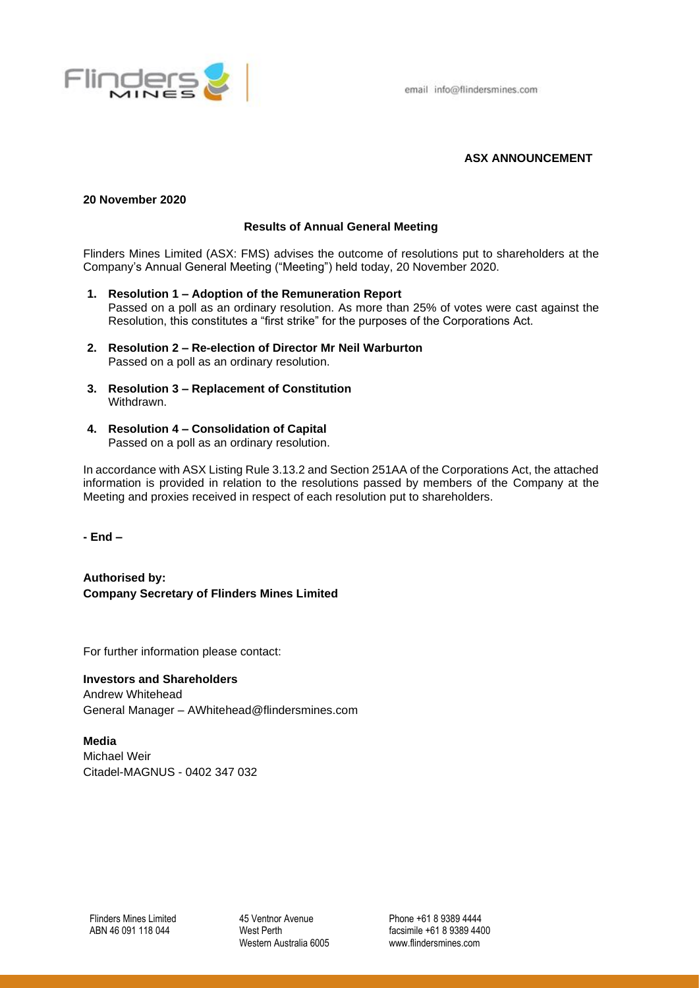

## **ASX ANNOUNCEMENT**

#### **20 November 2020**

## **Results of Annual General Meeting**

Flinders Mines Limited (ASX: FMS) advises the outcome of resolutions put to shareholders at the Company's Annual General Meeting ("Meeting") held today, 20 November 2020.

- **1. Resolution 1 – Adoption of the Remuneration Report** Passed on a poll as an ordinary resolution. As more than 25% of votes were cast against the Resolution, this constitutes a "first strike" for the purposes of the Corporations Act.
- **2. Resolution 2 – Re-election of Director Mr Neil Warburton** Passed on a poll as an ordinary resolution.
- **3. Resolution 3 – Replacement of Constitution** Withdrawn.
- **4. Resolution 4 – Consolidation of Capital** Passed on a poll as an ordinary resolution.

In accordance with ASX Listing Rule 3.13.2 and Section 251AA of the Corporations Act, the attached information is provided in relation to the resolutions passed by members of the Company at the Meeting and proxies received in respect of each resolution put to shareholders.

**- End –**

**Authorised by: Company Secretary of Flinders Mines Limited**

For further information please contact:

# **Investors and Shareholders**

Andrew Whitehead General Manager – AWhitehead@flindersmines.com

**Media**  Michael Weir Citadel-MAGNUS - 0402 347 032

45 Ventnor Avenue West Perth Western Australia 6005 Phone +61 8 9389 4444 facsimile +61 8 9389 4400 www.flindersmines.com